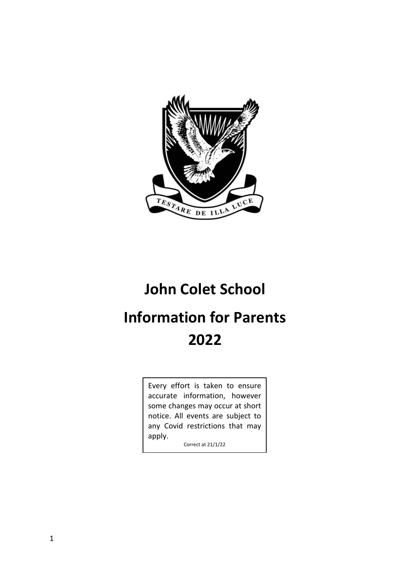

# **John Colet School**

# <span id="page-0-1"></span><span id="page-0-0"></span>**Information for Parents 2022**

Every effort is taken to ensure accurate information, however some changes may occur at short notice. All events are subject to any Covid restrictions that may apply.

Correct at 21/1/22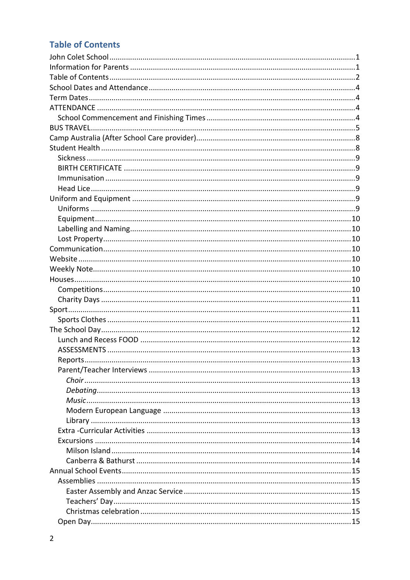# **Table of Contents**

| Reports. |  |
|----------|--|
|          |  |
|          |  |
|          |  |
|          |  |
|          |  |
|          |  |
|          |  |
|          |  |
|          |  |
|          |  |
|          |  |
|          |  |
|          |  |
|          |  |
|          |  |
|          |  |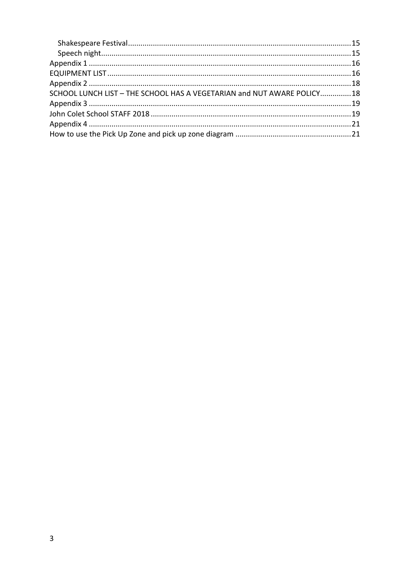<span id="page-2-0"></span>

| SCHOOL LUNCH LIST - THE SCHOOL HAS A VEGETARIAN and NUT AWARE POLICY18 |  |
|------------------------------------------------------------------------|--|
|                                                                        |  |
|                                                                        |  |
|                                                                        |  |
|                                                                        |  |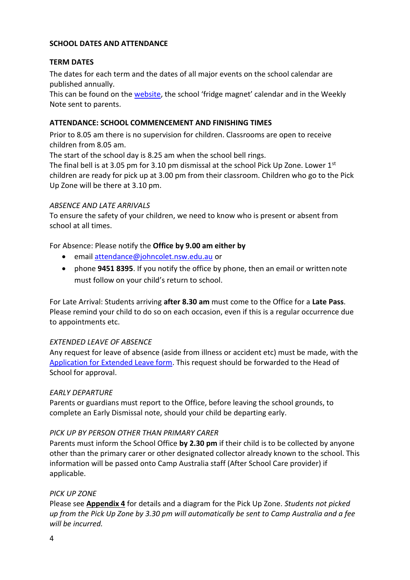#### **SCHOOL DATES AND ATTENDANCE**

#### <span id="page-3-0"></span>**TERM DATES**

The dates for each term and the dates of all major events on the school calendar are published annually.

This can be found on the [website](https://www.johncolet.nsw.edu.au/term-dates/), the school 'fridge magnet' calendar and in the Weekly Note sent to parents.

#### <span id="page-3-2"></span><span id="page-3-1"></span>**ATTENDANCE: SCHOOL COMMENCEMENT AND FINISHING TIMES**

Prior to 8.05 am there is no supervision for children. Classrooms are open to receive children from 8.05 am.

The start of the school day is 8.25 am when the school bell rings.

The final bell is at 3.05 pm for 3.10 pm dismissal at the school Pick Up Zone. Lower 1<sup>st</sup> children are ready for pick up at 3.00 pm from their classroom. Children who go to the Pick Up Zone will be there at 3.10 pm.

#### *ABSENCE AND LATE ARRIVALS*

To ensure the safety of your children, we need to know who is present or absent from school at all times.

For Absence: Please notify the **Office by 9.00 am either by**

- email [attendance@johncolet.nsw.edu.au](mailto:attendance@johncolet.nsw.edu.au) or
- phone **9451 8395**. If you notify the office by phone, then an email or written note must follow on your child's return to school.

For Late Arrival: Students arriving **after 8.30 am** must come to the Office for a **Late Pass**. Please remind your child to do so on each occasion, even if this is a regular occurrence due to appointments etc.

#### *EXTENDED LEAVE OF ABSENCE*

Any request for leave of absence (aside from illness or accident etc) must be made, with the [Application for Extended Leave form.](https://www.johncolet.nsw.edu.au/parent-information-forms/) This request should be forwarded to the Head of School for approval.

#### *EARLY DEPARTURE*

Parents or guardians must report to the Office, before leaving the school grounds, to complete an Early Dismissal note, should your child be departing early.

#### *PICK UP BY PERSON OTHER THAN PRIMARY CARER*

Parents must inform the School Office **by 2.30 pm** if their child is to be collected by anyone other than the primary carer or other designated collector already known to the school. This information will be passed onto Camp Australia staff (After School Care provider) if applicable.

# *PICK UP ZONE*

Please see **Appendix 4** for details and a diagram for the Pick Up Zone. *Students not picked up from the Pick Up Zone by 3.30 pm will automatically be sent to Camp Australia and a fee will be incurred.*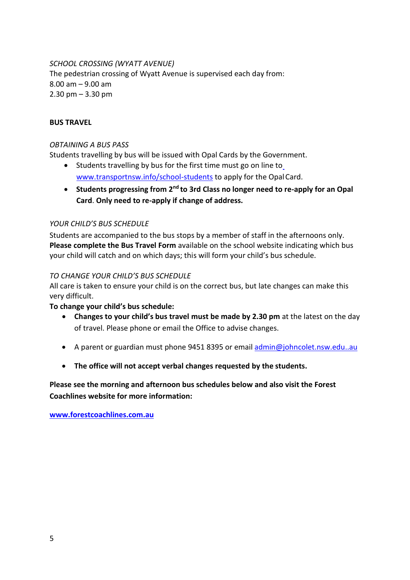*SCHOOL CROSSING (WYATT AVENUE)* The pedestrian crossing of Wyatt Avenue is supervised each day from: 8.00 am – 9.00 am 2.30 pm – 3.30 pm

# <span id="page-4-0"></span>**BUS TRAVEL**

# *OBTAINING A BUS PASS*

Students travelling by bus will be issued with Opal Cards by the Government.

- Students travelling by bus f[o](http://www.transportnsw.info/school-students)r the first time must go on line to [www.transportnsw.info/school-students](http://www.transportnsw.info/school-students) to apply for the Opal Card.
- **Students progressing from 2nd to 3rd Class no longer need to re-apply for an Opal Card**. **Only need to re-apply if change of address.**

#### *YOUR CHILD'S BUS SCHEDULE*

Students are accompanied to the bus stops by a member of staff in the afternoons only. **Please complete the Bus Travel Form** available on the school website indicating which bus your child will catch and on which days; this will form your child's bus schedule.

#### *TO CHANGE YOUR CHILD'S BUS SCHEDULE*

All care is taken to ensure your child is on the correct bus, but late changes can make this very difficult.

#### **To change your child's bus schedule:**

- **Changes to your child's bus travel must be made by 2.30 pm** at the latest on the day of travel. Please phone or email the Office to advise changes.
- A parent or guardian must phone 9451 8395 or email [admin@johncolet.nsw.edu..au](mailto:admin@johncolet.nsw.edu.au)
- **The office will not accept verbal changes requested by the students.**

**Please see the morning and afternoon bus schedules below and also visit the Forest Coachlines website for more information:**

**[www.forestcoachlines.com.au](http://www.forestcoachlines.com.au/)**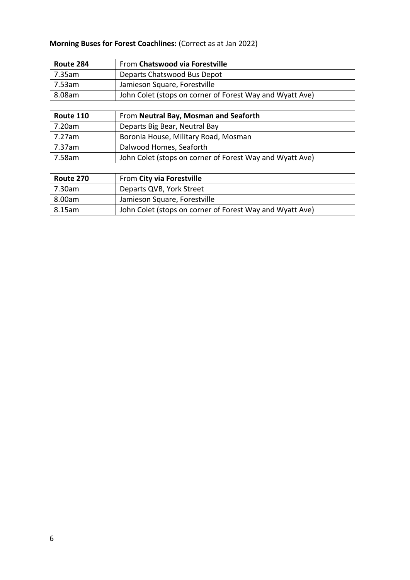# **Morning Buses for Forest Coachlines:** (Correct as at Jan 2022)

| Route 284 | From Chatswood via Forestville                           |
|-----------|----------------------------------------------------------|
| 7.35am    | Departs Chatswood Bus Depot                              |
| 7.53am    | Jamieson Square, Forestville                             |
| 8.08am    | John Colet (stops on corner of Forest Way and Wyatt Ave) |

| Route 110 | From Neutral Bay, Mosman and Seaforth                    |
|-----------|----------------------------------------------------------|
| 7.20am    | Departs Big Bear, Neutral Bay                            |
| 7.27am    | Boronia House, Military Road, Mosman                     |
| 7.37am    | Dalwood Homes, Seaforth                                  |
| 7.58am    | John Colet (stops on corner of Forest Way and Wyatt Ave) |

| Route 270 | From City via Forestville                                |
|-----------|----------------------------------------------------------|
| 7.30am    | Departs QVB, York Street                                 |
| 8.00am    | Jamieson Square, Forestville                             |
| 8.15am    | John Colet (stops on corner of Forest Way and Wyatt Ave) |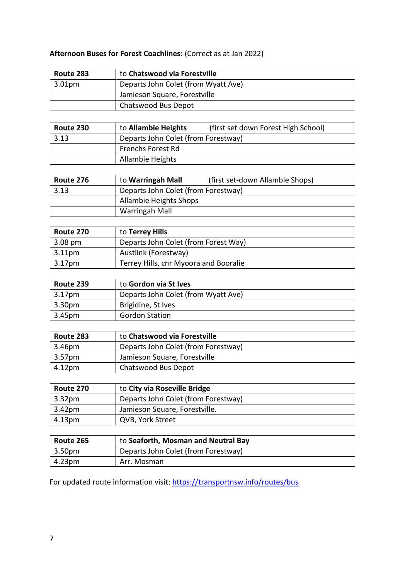# <span id="page-6-0"></span>**Afternoon Buses for Forest Coachlines:** (Correct as at Jan 2022)

| Route 283 | to Chatswood via Forestville        |
|-----------|-------------------------------------|
| 3.01pm    | Departs John Colet (from Wyatt Ave) |
|           | Jamieson Square, Forestville        |
|           | Chatswood Bus Depot                 |

| Route 230 | to Allambie Heights                 | (first set down Forest High School) |
|-----------|-------------------------------------|-------------------------------------|
| 3.13      | Departs John Colet (from Forestway) |                                     |
|           | <b>Frenchs Forest Rd</b>            |                                     |
|           | Allambie Heights                    |                                     |

| Route 276 | to Warringah Mall                   | (first set-down Allambie Shops) |
|-----------|-------------------------------------|---------------------------------|
| 3.13      | Departs John Colet (from Forestway) |                                 |
|           | Allambie Heights Shops              |                                 |
|           | Warringah Mall                      |                                 |

| Route 270          | to <b>Terrey Hills</b>                |
|--------------------|---------------------------------------|
| $3.08 \text{ pm}$  | Departs John Colet (from Forest Way)  |
| 3.11 <sub>pm</sub> | Austlink (Forestway)                  |
| 3.17 <sub>pm</sub> | Terrey Hills, cnr Myoora and Booralie |

| Route 239 | to Gordon via St Ives               |
|-----------|-------------------------------------|
| 3.17pm    | Departs John Colet (from Wyatt Ave) |
| 3.30pm    | Brigidine, St Ives                  |
| 3.45pm    | <b>Gordon Station</b>               |

| Route 283          | to Chatswood via Forestville        |
|--------------------|-------------------------------------|
| 3.46 <sub>pm</sub> | Departs John Colet (from Forestway) |
| 3.57pm             | Jamieson Square, Forestville        |
| 4.12pm             | Chatswood Bus Depot                 |

| Route 270          | to City via Roseville Bridge        |
|--------------------|-------------------------------------|
| 3.32 <sub>pm</sub> | Departs John Colet (from Forestway) |
| 3.42 <sub>pm</sub> | Jamieson Square, Forestville.       |
| 4.13pm             | QVB, York Street                    |

| Route 265 | to Seaforth, Mosman and Neutral Bay |
|-----------|-------------------------------------|
| 3.50pm    | Departs John Colet (from Forestway) |
| 4.23pm    | Arr. Mosman                         |

For updated route information visit:<https://transportnsw.info/routes/bus>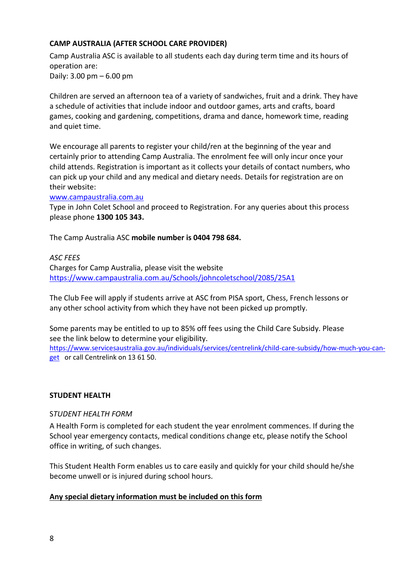# <span id="page-7-1"></span>**CAMP AUSTRALIA (AFTER SCHOOL CARE PROVIDER)**

Camp Australia ASC is available to all students each day during term time and its hours of operation are: Daily: 3.00 pm – 6.00 pm

Children are served an afternoon tea of a variety of sandwiches, fruit and a drink. They have a schedule of activities that include indoor and outdoor games, arts and crafts, board games, cooking and gardening, competitions, drama and dance, homework time, reading and quiet time.

We encourage all parents to register your child/ren at the beginning of the year and certainly prior to attending Camp Australia. The enrolment fee will only incur once your child attends. Registration is important as it collects your details of contact numbers, who can pick up your child and any medical and dietary needs. Details for registration are on their website:

#### [www.campaustralia.com.au](http://www.campaustralia.com.au/)

Type in John Colet School and proceed to Registration. For any queries about this process please phone **1300 105 343.**

The Camp Australia ASC **mobile number is 0404 798 684.**

#### *ASC FEES*

Charges for Camp Australia, please visit the website <https://www.campaustralia.com.au/Schools/johncoletschool/2085/25A1>

The Club Fee will apply if students arrive at ASC from PISA sport, Chess, French lessons or any other school activity from which they have not been picked up promptly.

Some parents may be entitled to up to 85% off fees using the Child Care Subsidy. Please see the link below to determine your eligibility.

[https://www.servicesaustralia.gov.au/individuals/services/centrelink/child-care-subsidy/how-much-you-can](https://www.servicesaustralia.gov.au/individuals/services/centrelink/child-care-subsidy/how-much-you-can-get)[get](https://www.servicesaustralia.gov.au/individuals/services/centrelink/child-care-subsidy/how-much-you-can-get) or call Centrelink on 13 61 50.

# <span id="page-7-0"></span>**STUDENT HEALTH**

#### S*TUDENT HEALTH FORM*

A Health Form is completed for each student the year enrolment commences. If during the School year emergency contacts, medical conditions change etc, please notify the School office in writing, of such changes.

This Student Health Form enables us to care easily and quickly for your child should he/she become unwell or is injured during school hours.

# **Any special dietary information must be included on this form**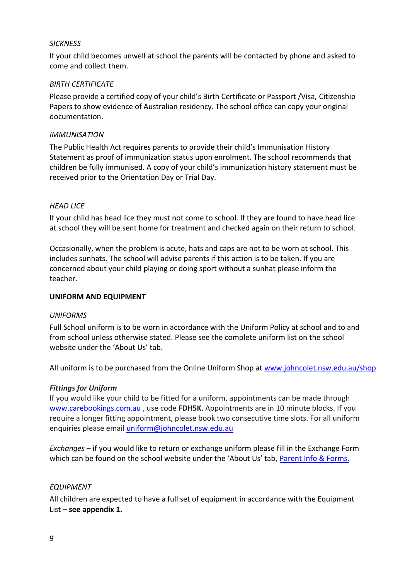#### *SICKNESS*

If your child becomes unwell at school the parents will be contacted by phone and asked to come and collect them.

#### <span id="page-8-0"></span>*BIRTH CERTIFICATE*

Please provide a certified copy of your child's Birth Certificate or Passport /Visa, Citizenship Papers to show evidence of Australian residency. The school office can copy your original documentation.

#### <span id="page-8-1"></span>*IMMUNISATION*

The Public Health Act requires parents to provide their child's Immunisation History Statement as proof of immunization status upon enrolment. The school recommends that children be fully immunised. A copy of your child's immunization history statement must be received prior to the Orientation Day or Trial Day.

#### <span id="page-8-2"></span>*HEAD LICE*

If your child has head lice they must not come to school. If they are found to have head lice at school they will be sent home for treatment and checked again on their return to school.

Occasionally, when the problem is acute, hats and caps are not to be worn at school. This includes sunhats. The school will advise parents if this action is to be taken. If you are concerned about your child playing or doing sport without a sunhat please inform the teacher.

#### <span id="page-8-3"></span>**UNIFORM AND EQUIPMENT**

#### <span id="page-8-4"></span>*UNIFORMS*

Full School uniform is to be worn in accordance with the Uniform Policy at school and to and from school unless otherwise stated. Please see the complete uniform list on the school website under the 'About Us' tab.

<span id="page-8-5"></span>All uniform is to be purchased from the Online Uniform Shop at [www.johncolet.nsw.edu.au/shop](http://www.johncolet.nsw.edu.au/shop)

#### *Fittings for Uniform*

If you would like your child to be fitted for a uniform, appointments can be made through [www.carebookings.com.au](http://www.carebookings.com.au/) , use code **FDH5K**. Appointments are in 10 minute blocks. If you require a longer fitting appointment, please book two consecutive time slots. For all uniform enquiries please email *uniform@johncolet.nsw.edu.au* 

*Exchanges* – if you would like to return or exchange uniform please fill in the Exchange Form which can be found on the school website under the 'About Us' tab, [Parent Info & Forms.](https://www.johncolet.nsw.edu.au/images/2019_Uniform_Exchange_Form.pdf)

#### *EQUIPMENT*

All children are expected to have a full set of equipment in accordance with the Equipment List – **see appendix 1.**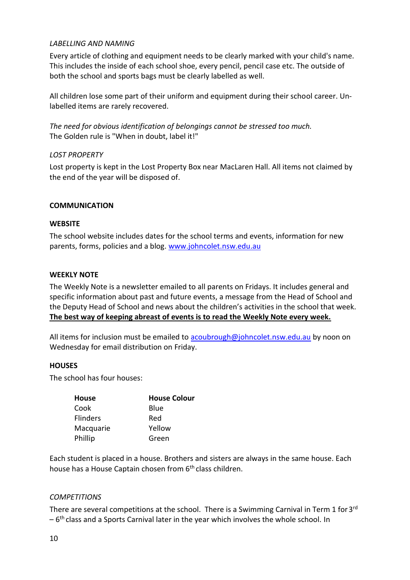#### <span id="page-9-0"></span>*LABELLING AND NAMING*

Every article of clothing and equipment needs to be clearly marked with your child's name. This includes the inside of each school shoe, every pencil, pencil case etc. The outside of both the school and sports bags must be clearly labelled as well.

All children lose some part of their uniform and equipment during their school career. Unlabelled items are rarely recovered.

*The need for obvious identification of belongings cannot be stressed too much.* The Golden rule is "When in doubt, label it!"

#### <span id="page-9-1"></span>*LOST PROPERTY*

Lost property is kept in the Lost Property Box near MacLaren Hall. All items not claimed by the end of the year will be disposed of.

#### <span id="page-9-3"></span><span id="page-9-2"></span>**COMMUNICATION**

#### **WEBSITE**

<span id="page-9-4"></span>The school website includes dates for the school terms and events, information for new parents, forms, policies and a blog. [www.johncolet.nsw.edu.au](http://www.johncolet.nsw.edu.au/)

#### **WEEKLY NOTE**

The Weekly Note is a newsletter emailed to all parents on Fridays. It includes general and specific information about past and future events, a message from the Head of School and the Deputy Head of School and news about the children's activities in the school that week. **The best way of keeping abreast of events is to read the Weekly Note every week.**

All items for inclusion must be emailed to [acoubrough@johncolet.nsw.edu.au](mailto:acoubrough@johncolet.nsw.edu.au) by noon on Wednesday for email distribution on Friday.

#### <span id="page-9-5"></span>**HOUSES**

The school has four houses:

| <b>House</b>    | <b>House Colour</b> |
|-----------------|---------------------|
| Cook            | Blue                |
| <b>Flinders</b> | Red                 |
| Macquarie       | Yellow              |
| Phillip         | Green               |

Each student is placed in a house. Brothers and sisters are always in the same house. Each house has a House Captain chosen from 6<sup>th</sup> class children.

#### <span id="page-9-6"></span>*COMPETITIONS*

There are several competitions at the school. There is a Swimming Carnival in Term 1 for 3<sup>rd</sup> – 6<sup>th</sup> class and a Sports Carnival later in the year which involves the whole school. In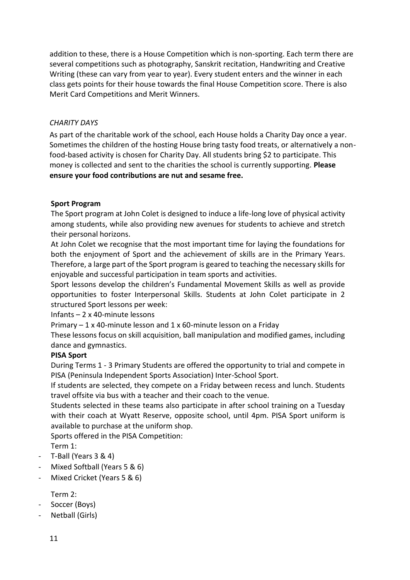addition to these, there is a House Competition which is non-sporting. Each term there are several competitions such as photography, Sanskrit recitation, Handwriting and Creative Writing (these can vary from year to year). Every student enters and the winner in each class gets points for their house towards the final House Competition score. There is also Merit Card Competitions and Merit Winners.

#### *CHARITY DAYS*

As part of the charitable work of the school, each House holds a Charity Day once a year. Sometimes the children of the hosting House bring tasty food treats, or alternatively a nonfood-based activity is chosen for Charity Day. All students bring \$2 to participate. This money is collected and sent to the charities the school is currently supporting. **Please ensure your food contributions are nut and sesame free.**

#### <span id="page-10-0"></span>**Sport Program**

The Sport program at John Colet is designed to induce a life-long love of physical activity among students, while also providing new avenues for students to achieve and stretch their personal horizons.

At John Colet we recognise that the most important time for laying the foundations for both the enjoyment of Sport and the achievement of skills are in the Primary Years. Therefore, a large part of the Sport program is geared to teaching the necessary skills for enjoyable and successful participation in team sports and activities.

Sport lessons develop the children's Fundamental Movement Skills as well as provide opportunities to foster Interpersonal Skills. Students at John Colet participate in 2 structured Sport lessons per week:

Infants – 2 x 40-minute lessons

Primary  $-1$  x 40-minute lesson and  $1$  x 60-minute lesson on a Friday

These lessons focus on skill acquisition, ball manipulation and modified games, including dance and gymnastics.

# **PISA Sport**

During Terms 1 - 3 Primary Students are offered the opportunity to trial and compete in PISA (Peninsula Independent Sports Association) Inter-School Sport.

If students are selected, they compete on a Friday between recess and lunch. Students travel offsite via bus with a teacher and their coach to the venue.

Students selected in these teams also participate in after school training on a Tuesday with their coach at Wyatt Reserve, opposite school, until 4pm. PISA Sport uniform is available to purchase at the uniform shop.

Sports offered in the PISA Competition:

Term 1:

- T-Ball (Years 3 & 4)
- Mixed Softball (Years 5 & 6)
- Mixed Cricket (Years 5 & 6)

Term 2:

- Soccer (Boys)
- Netball (Girls)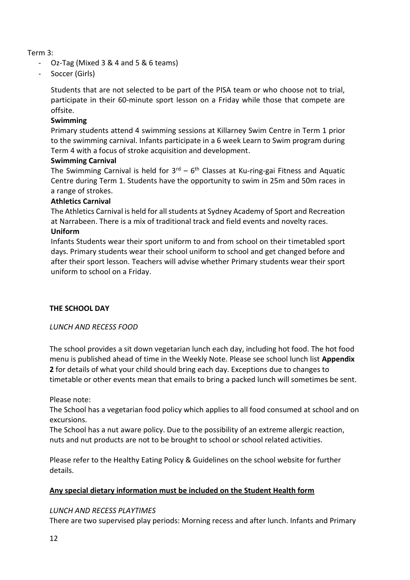#### Term 3:

- Oz-Tag (Mixed 3 & 4 and 5 & 6 teams)
- Soccer (Girls)

Students that are not selected to be part of the PISA team or who choose not to trial, participate in their 60-minute sport lesson on a Friday while those that compete are offsite.

# **Swimming**

Primary students attend 4 swimming sessions at Killarney Swim Centre in Term 1 prior to the swimming carnival. Infants participate in a 6 week Learn to Swim program during Term 4 with a focus of stroke acquisition and development.

#### **Swimming Carnival**

The Swimming Carnival is held for 3<sup>rd</sup> – 6<sup>th</sup> Classes at Ku-ring-gai Fitness and Aquatic Centre during Term 1. Students have the opportunity to swim in 25m and 50m races in a range of strokes.

#### **Athletics Carnival**

The Athletics Carnival is held for all students at Sydney Academy of Sport and Recreation at Narrabeen. There is a mix of traditional track and field events and novelty races.

# **Uniform**

Infants Students wear their sport uniform to and from school on their timetabled sport days. Primary students wear their school uniform to school and get changed before and after their sport lesson. Teachers will advise whether Primary students wear their sport uniform to school on a Friday.

# <span id="page-11-0"></span>**THE SCHOOL DAY**

#### *LUNCH AND RECESS FOOD*

The school provides a sit down vegetarian lunch each day, including hot food. The hot food menu is published ahead of time in the Weekly Note. Please see school lunch list **Appendix 2** for details of what your child should bring each day. Exceptions due to changes to timetable or other events mean that emails to bring a packed lunch will sometimes be sent.

Please note:

The School has a vegetarian food policy which applies to all food consumed at school and on excursions.

The School has a nut aware policy. Due to the possibility of an extreme allergic reaction, nuts and nut products are not to be brought to school or school related activities.

Please refer to the Healthy Eating Policy & Guidelines on the school website for further details.

# **Any special dietary information must be included on the Student Health form**

#### *LUNCH AND RECESS PLAYTIMES*

There are two supervised play periods: Morning recess and after lunch. Infants and Primary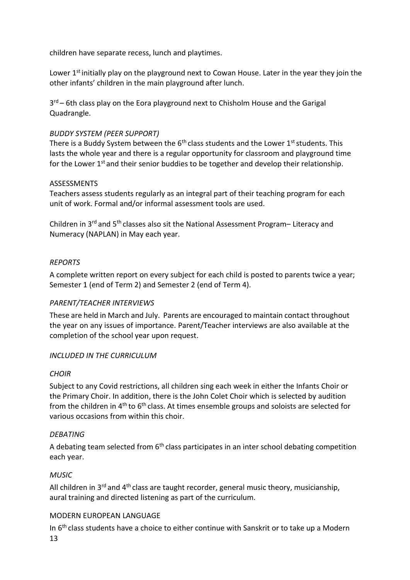children have separate recess, lunch and playtimes.

Lower 1<sup>st</sup> initially play on the playground next to Cowan House. Later in the year they join the other infants' children in the main playground after lunch.

3<sup>rd</sup> – 6th class play on the Eora playground next to Chisholm House and the Garigal Quadrangle.

#### *BUDDY SYSTEM (PEER SUPPORT)*

There is a Buddy System between the  $6<sup>th</sup>$  class students and the Lower 1<sup>st</sup> students. This lasts the whole year and there is a regular opportunity for classroom and playground time for the Lower  $1<sup>st</sup>$  and their senior buddies to be together and develop their relationship.

#### ASSESSMENTS

Teachers assess students regularly as an integral part of their teaching program for each unit of work. Formal and/or informal assessment tools are used.

Children in 3rd and 5th classes also sit the National Assessment Program– Literacy and Numeracy (NAPLAN) in May each year.

# <span id="page-12-0"></span>*REPORTS*

A complete written report on every subject for each child is posted to parents twice a year; Semester 1 (end of Term 2) and Semester 2 (end of Term 4).

#### <span id="page-12-1"></span>*PARENT/TEACHER INTERVIEWS*

These are held in March and July. Parents are encouraged to maintain contact throughout the year on any issues of importance. Parent/Teacher interviews are also available at the completion of the school year upon request.

# <span id="page-12-2"></span>*INCLUDED IN THE CURRICULUM*

#### *CHOIR*

Subject to any Covid restrictions, all children sing each week in either the Infants Choir or the Primary Choir. In addition, there is the John Colet Choir which is selected by audition from the children in 4<sup>th</sup> to 6<sup>th</sup> class. At times ensemble groups and soloists are selected for various occasions from within this choir.

#### <span id="page-12-3"></span>*DEBATING*

A debating team selected from  $6<sup>th</sup>$  class participates in an inter school debating competition each year.

# <span id="page-12-4"></span>*MUSIC*

All children in  $3^{rd}$  and  $4^{th}$  class are taught recorder, general music theory, musicianship, aural training and directed listening as part of the curriculum.

#### <span id="page-12-5"></span>MODERN EUROPEAN LANGUAGE

In  $6<sup>th</sup>$  class students have a choice to either continue with Sanskrit or to take up a Modern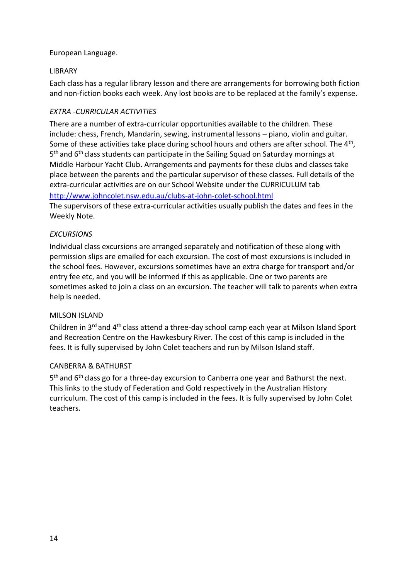#### European Language.

#### <span id="page-13-0"></span>LIBRARY

Each class has a regular library lesson and there are arrangements for borrowing both fiction and non-fiction books each week. Any lost books are to be replaced at the family's expense.

#### <span id="page-13-1"></span>*EXTRA -CURRICULAR ACTIVITIES*

There are a number of extra-curricular opportunities available to the children. These include: chess, French, Mandarin, sewing, instrumental lessons – piano, violin and guitar. Some of these activities take place during school hours and others are after school. The  $4^{\text{th}}$ , 5<sup>th</sup> and 6<sup>th</sup> class students can participate in the Sailing Squad on Saturday mornings at Middle Harbour Yacht Club. Arrangements and payments for these clubs and classes take place between the parents and the particular supervisor of these classes. Full details of the extra-curricular activities are on our School Website under the CURRICULUM tab <http://www.johncolet.nsw.edu.au/clubs-at-john-colet-school.html>

The supervisors of these extra-curricular activities usually publish the dates and fees in the Weekly Note.

#### <span id="page-13-2"></span>*EXCURSIONS*

Individual class excursions are arranged separately and notification of these along with permission slips are emailed for each excursion. The cost of most excursions is included in the school fees. However, excursions sometimes have an extra charge for transport and/or entry fee etc, and you will be informed if this as applicable. One or two parents are sometimes asked to join a class on an excursion. The teacher will talk to parents when extra help is needed.

#### <span id="page-13-3"></span>MILSON ISLAND

Children in 3rd and 4th class attend a three-day school camp each year at Milson Island Sport and Recreation Centre on the Hawkesbury River. The cost of this camp is included in the fees. It is fully supervised by John Colet teachers and run by Milson Island staff.

#### <span id="page-13-4"></span>CANBERRA & BATHURST

5<sup>th</sup> and 6<sup>th</sup> class go for a three-day excursion to Canberra one year and Bathurst the next. This links to the study of Federation and Gold respectively in the Australian History curriculum. The cost of this camp is included in the fees. It is fully supervised by John Colet teachers.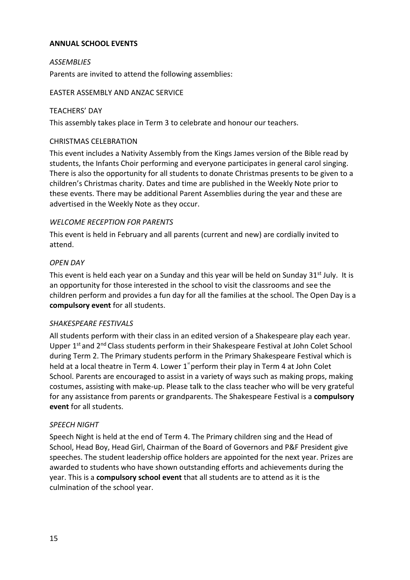#### <span id="page-14-0"></span>**ANNUAL SCHOOL EVENTS**

#### <span id="page-14-1"></span>*ASSEMBLIES*

Parents are invited to attend the following assemblies:

#### <span id="page-14-2"></span>EASTER ASSEMBLY AND ANZAC SERVICE

#### <span id="page-14-3"></span>TEACHERS' DAY

This assembly takes place in Term 3 to celebrate and honour our teachers.

#### <span id="page-14-4"></span>CHRISTMAS CELEBRATION

This event includes a Nativity Assembly from the Kings James version of the Bible read by students, the Infants Choir performing and everyone participates in general carol singing. There is also the opportunity for all students to donate Christmas presents to be given to a children's Christmas charity. Dates and time are published in the Weekly Note prior to these events. There may be additional Parent Assemblies during the year and these are advertised in the Weekly Note as they occur.

#### *WELCOME RECEPTION FOR PARENTS*

This event is held in February and all parents (current and new) are cordially invited to attend.

#### <span id="page-14-5"></span>*OPEN DAY*

This event is held each year on a Sunday and this year will be held on Sunday  $31^{st}$  July. It is an opportunity for those interested in the school to visit the classrooms and see the children perform and provides a fun day for all the families at the school. The Open Day is a **compulsory event** for all students.

# <span id="page-14-6"></span>*SHAKESPEARE FESTIVALS*

All students perform with their class in an edited version of a Shakespeare play each year. Upper 1<sup>st</sup> and 2<sup>nd</sup> Class students perform in their Shakespeare Festival at John Colet School during Term 2. The Primary students perform in the Primary Shakespeare Festival which is held at a local theatre in Term 4. Lower  $1^*$  perform their play in Term 4 at John Colet School. Parents are encouraged to assist in a variety of ways such as making props, making costumes, assisting with make-up. Please talk to the class teacher who will be very grateful for any assistance from parents or grandparents. The Shakespeare Festival is a **compulsory event** for all students.

#### <span id="page-14-7"></span>*SPEECH NIGHT*

Speech Night is held at the end of Term 4. The Primary children sing and the Head of School, Head Boy, Head Girl, Chairman of the Board of Governors and P&F President give speeches. The student leadership office holders are appointed for the next year. Prizes are awarded to students who have shown outstanding efforts and achievements during the year. This is a **compulsory school event** that all students are to attend as it is the culmination of the school year.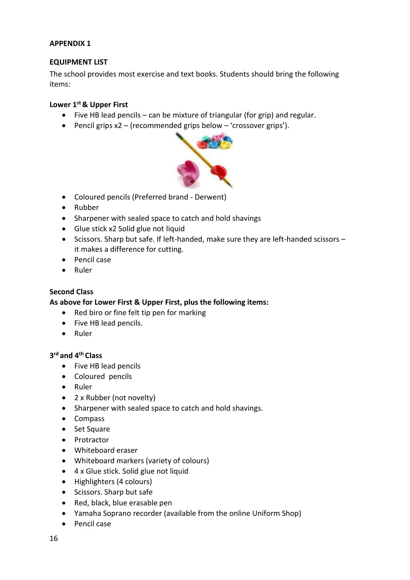#### <span id="page-15-0"></span>**APPENDIX 1**

#### <span id="page-15-1"></span>**EQUIPMENT LIST**

The school provides most exercise and text books. Students should bring the following items:

#### **Lower 1st & Upper First**

- Five HB lead pencils can be mixture of triangular (for grip) and regular.
- Pencil grips x2 (recommended grips below 'crossover grips').



- Coloured pencils (Preferred brand Derwent)
- Rubber
- Sharpener with sealed space to catch and hold shavings
- Glue stick x2 Solid glue not liquid
- Scissors. Sharp but safe. If left-handed, make sure they are left-handed scissors it makes a difference for cutting.
- Pencil case
- Ruler

#### **Second Class**

**As above for Lower First & Upper First, plus the following items:**

- Red biro or fine felt tip pen for marking
- Five HB lead pencils.
- Ruler

# **3 rd and 4th Class**

- Five HB lead pencils
- Coloured pencils
- Ruler
- 2 x Rubber (not novelty)
- Sharpener with sealed space to catch and hold shavings.
- Compass
- Set Square
- Protractor
- Whiteboard eraser
- Whiteboard markers (variety of colours)
- 4 x Glue stick. Solid glue not liquid
- Highlighters (4 colours)
- Scissors. Sharp but safe
- Red, black, blue erasable pen
- Yamaha Soprano recorder (available from the online Uniform Shop)
- Pencil case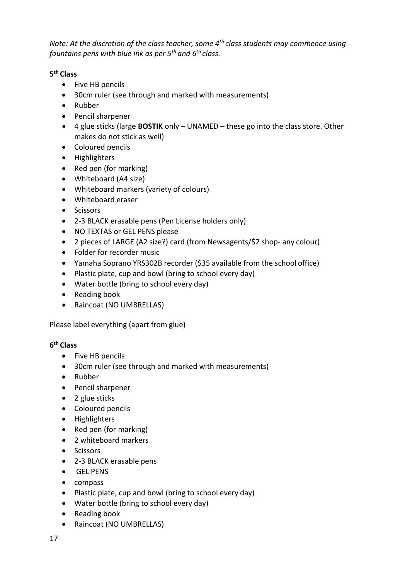*Note: At the discretion of the class teacher, some 4th class students may commence using fountains pens with blue ink as per 5th and 6th class.*

# **5 th Class**

- Five HB pencils
- 30cm ruler (see through and marked with measurements)
- Rubber
- Pencil sharpener
- 4 glue sticks (large **BOSTIK** only UNAMED these go into the class store. Other makes do not stick as well)
- Coloured pencils
- Highlighters
- Red pen (for marking)
- Whiteboard (A4 size)
- Whiteboard markers (variety of colours)
- Whiteboard eraser
- Scissors
- 2-3 BLACK erasable pens (Pen License holders only)
- NO TEXTAS or GEL PENS please
- 2 pieces of LARGE (A2 size?) card (from Newsagents/\$2 shop- any colour)
- Folder for recorder music
- Yamaha Soprano YRS302B recorder (\$35 available from the school office)
- Plastic plate, cup and bowl (bring to school every day)
- Water bottle (bring to school every day)
- Reading book
- Raincoat (NO UMBRELLAS)

Please label everything (apart from glue)

# **6 th Class**

- Five HB pencils
- 30cm ruler (see through and marked with measurements)
- Rubber
- Pencil sharpener
- 2 glue sticks
- Coloured pencils
- Highlighters
- Red pen (for marking)
- 2 whiteboard markers
- Scissors
- 2-3 BLACK erasable pens
- GEL PENS
- compass
- Plastic plate, cup and bowl (bring to school every day)
- Water bottle (bring to school every day)
- Reading book
- Raincoat (NO UMBRELLAS)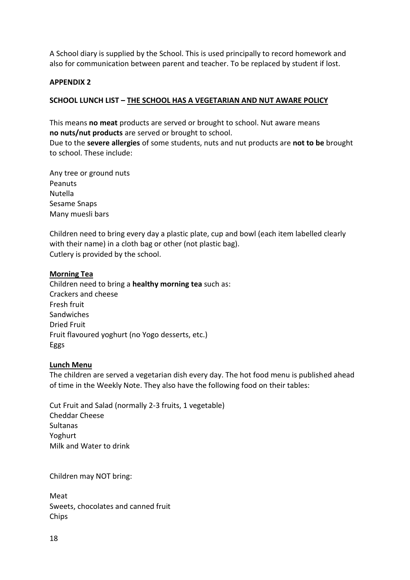A School diary is supplied by the School. This is used principally to record homework and also for communication between parent and teacher. To be replaced by student if lost.

#### <span id="page-17-0"></span>**APPENDIX 2**

#### <span id="page-17-1"></span>**SCHOOL LUNCH LIST – THE SCHOOL HAS A VEGETARIAN AND NUT AWARE POLICY**

This means **no meat** products are served or brought to school. Nut aware means **no nuts/nut products** are served or brought to school.

Due to the **severe allergies** of some students, nuts and nut products are **not to be** brought to school. These include:

Any tree or ground nuts Peanuts Nutella Sesame Snaps Many muesli bars

Children need to bring every day a plastic plate, cup and bowl (each item labelled clearly with their name) in a cloth bag or other (not plastic bag). Cutlery is provided by the school.

#### **Morning Tea**

Children need to bring a **healthy morning tea** such as: Crackers and cheese Fresh fruit Sandwiches Dried Fruit Fruit flavoured yoghurt (no Yogo desserts, etc.) Eggs

#### **Lunch Menu**

The children are served a vegetarian dish every day. The hot food menu is published ahead of time in the Weekly Note. They also have the following food on their tables:

Cut Fruit and Salad (normally 2-3 fruits, 1 vegetable) Cheddar Cheese **Sultanas** Yoghurt Milk and Water to drink

Children may NOT bring:

Meat Sweets, chocolates and canned fruit Chips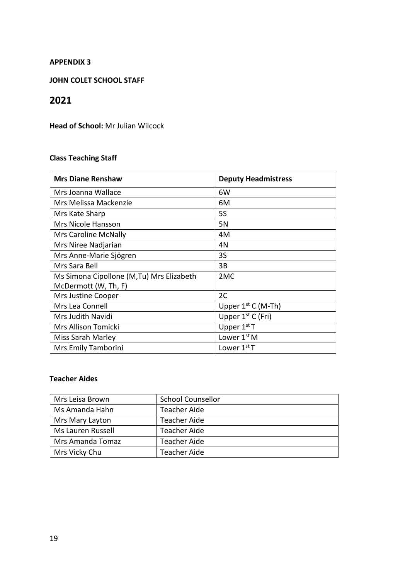#### <span id="page-18-0"></span>**APPENDIX 3**

#### <span id="page-18-1"></span>**JOHN COLET SCHOOL STAFF**

# **2021**

**Head of School:** Mr Julian Wilcock

# **Class Teaching Staff**

| <b>Mrs Diane Renshaw</b>                                         | <b>Deputy Headmistress</b> |
|------------------------------------------------------------------|----------------------------|
| Mrs Joanna Wallace                                               | 6W                         |
| Mrs Melissa Mackenzie                                            | 6M                         |
| Mrs Kate Sharp                                                   | <b>5S</b>                  |
| Mrs Nicole Hansson                                               | 5N                         |
| <b>Mrs Caroline McNally</b>                                      | 4M                         |
| Mrs Niree Nadjarian                                              | 4N                         |
| Mrs Anne-Marie Sjögren                                           | 3S                         |
| Mrs Sara Bell                                                    | 3B                         |
| Ms Simona Cipollone (M,Tu) Mrs Elizabeth<br>McDermott (W, Th, F) | 2 <sub>MC</sub>            |
| Mrs Justine Cooper                                               | 2C                         |
| Mrs Lea Connell                                                  | Upper $1^{st}$ C (M-Th)    |
| Mrs Judith Navidi                                                | Upper $1^{st}$ C (Fri)     |
| Mrs Allison Tomicki                                              | Upper $1st$ T              |
| Miss Sarah Marley                                                | Lower $1st M$              |
| Mrs Emily Tamborini                                              | Lower $1st$ T              |

# **Teacher Aides**

| Mrs Leisa Brown   | <b>School Counsellor</b> |
|-------------------|--------------------------|
| Ms Amanda Hahn    | <b>Teacher Aide</b>      |
| Mrs Mary Layton   | <b>Teacher Aide</b>      |
| Ms Lauren Russell | <b>Teacher Aide</b>      |
| Mrs Amanda Tomaz  | <b>Teacher Aide</b>      |
| Mrs Vicky Chu     | <b>Teacher Aide</b>      |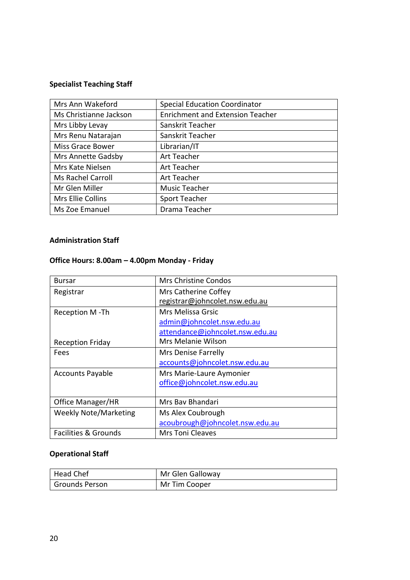# **Specialist Teaching Staff**

| Mrs Ann Wakeford         | <b>Special Education Coordinator</b>    |
|--------------------------|-----------------------------------------|
| Ms Christianne Jackson   | <b>Enrichment and Extension Teacher</b> |
| Mrs Libby Levay          | Sanskrit Teacher                        |
| Mrs Renu Natarajan       | Sanskrit Teacher                        |
| <b>Miss Grace Bower</b>  | Librarian/IT                            |
| Mrs Annette Gadsby       | Art Teacher                             |
| Mrs Kate Nielsen         | Art Teacher                             |
| <b>Ms Rachel Carroll</b> | Art Teacher                             |
| Mr Glen Miller           | Music Teacher                           |
| Mrs Ellie Collins        | Sport Teacher                           |
| Ms Zoe Emanuel           | Drama Teacher                           |

# **Administration Staff**

# **Office Hours: 8.00am – 4.00pm Monday - Friday**

| <b>Bursar</b>                   | Mrs Christine Condos            |
|---------------------------------|---------------------------------|
| Registrar                       | Mrs Catherine Coffey            |
|                                 | registrar@johncolet.nsw.edu.au  |
| Reception M-Th                  | Mrs Melissa Grsic               |
|                                 | admin@johncolet.nsw.edu.au      |
|                                 | attendance@johncolet.nsw.edu.au |
| <b>Reception Friday</b>         | Mrs Melanie Wilson              |
| Fees                            | Mrs Denise Farrelly             |
|                                 | accounts@johncolet.nsw.edu.au   |
| <b>Accounts Payable</b>         | Mrs Marie-Laure Aymonier        |
|                                 | office@johncolet.nsw.edu.au     |
|                                 |                                 |
| Office Manager/HR               | Mrs Bay Bhandari                |
| <b>Weekly Note/Marketing</b>    | Ms Alex Coubrough               |
|                                 | acoubrough@johncolet.nsw.edu.au |
| <b>Facilities &amp; Grounds</b> | <b>Mrs Toni Cleaves</b>         |

# **Operational Staff**

| Head Chef      | Mr Glen Galloway |
|----------------|------------------|
| Grounds Person | Mr Tim Cooper    |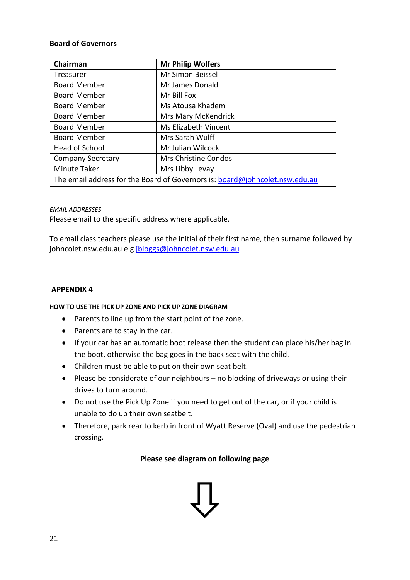#### **Board of Governors**

| Chairman<br><b>Mr Philip Wolfers</b>                                        |                      |  |
|-----------------------------------------------------------------------------|----------------------|--|
|                                                                             |                      |  |
| Treasurer                                                                   | Mr Simon Beissel     |  |
| <b>Board Member</b>                                                         | Mr James Donald      |  |
| <b>Board Member</b>                                                         | Mr Bill Fox          |  |
| <b>Board Member</b>                                                         | Ms Atousa Khadem     |  |
| <b>Board Member</b>                                                         | Mrs Mary McKendrick  |  |
| <b>Board Member</b>                                                         | Ms Elizabeth Vincent |  |
| <b>Board Member</b>                                                         | Mrs Sarah Wulff      |  |
| Head of School                                                              | Mr Julian Wilcock    |  |
| <b>Company Secretary</b>                                                    | Mrs Christine Condos |  |
| <b>Minute Taker</b>                                                         | Mrs Libby Levay      |  |
| The email address for the Board of Governors is: board@johncolet.nsw.edu.au |                      |  |

#### *EMAIL ADDRESSES*

Please email to the specific address where applicable.

To email class teachers please use the initial of their first name, then surname followed by johncolet.nsw.edu.au e.g [jbloggs@johncolet.nsw.edu.au](mailto:jbloggs@johncolet.nsw.edu.au)

#### <span id="page-20-0"></span>**APPENDIX 4**

#### <span id="page-20-1"></span>**HOW TO USE THE PICK UP ZONE AND PICK UP ZONE DIAGRAM**

- Parents to line up from the start point of the zone.
- Parents are to stay in the car.
- If your car has an automatic boot release then the student can place his/her bag in the boot, otherwise the bag goes in the back seat with the child.
- Children must be able to put on their own seat belt.
- Please be considerate of our neighbours no blocking of driveways or using their drives to turn around.
- Do not use the Pick Up Zone if you need to get out of the car, or if your child is unable to do up their own seatbelt.
- Therefore, park rear to kerb in front of Wyatt Reserve (Oval) and use the pedestrian crossing.

**Please see diagram on following page**